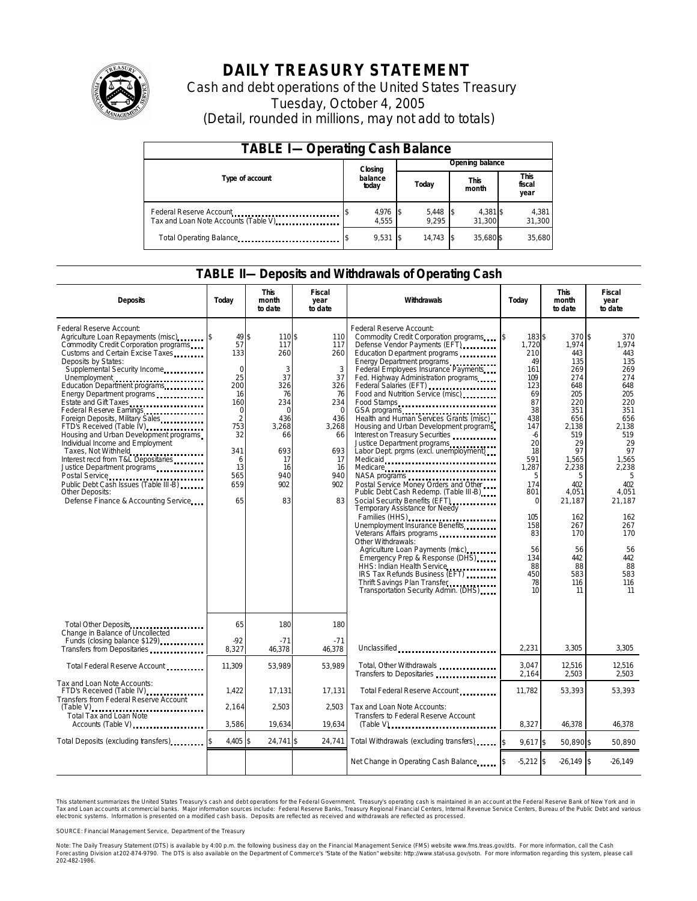

# **DAILY TREASURY STATEMENT**

Cash and debt operations of the United States Treasury Tuesday, October 4, 2005 (Detail, rounded in millions, may not add to totals)

| <b>TABLE I-Operating Cash Balance</b>                            |  |                   |  |                 |                      |                    |                               |                 |
|------------------------------------------------------------------|--|-------------------|--|-----------------|----------------------|--------------------|-------------------------------|-----------------|
|                                                                  |  | Closing           |  | Opening balance |                      |                    |                               |                 |
| Type of account                                                  |  | balance<br>today  |  | Today           | <b>This</b><br>month |                    | <b>This</b><br>fiscal<br>year |                 |
| Federal Reserve Account<br>Tax and Loan Note Accounts (Table V). |  | 4,976 \$<br>4.555 |  | 5,448<br>9.295  |                      | 4,381 \$<br>31.300 |                               | 4,381<br>31,300 |
| Total Operating Balance                                          |  | $9.531$ \\$       |  | 14.743          |                      | 35.680\$           |                               | 35.680          |

## **TABLE II—Deposits and Withdrawals of Operating Cash**

| <b>Deposits</b>                                                                                                                                                                                                                                                                                                                                                                                                                                                                                                                                                                                                                                                                        | Today                                                                                                                                           | <b>This</b><br>month<br>to date                                                                                                | <b>Fiscal</b><br>year<br>to date                                                                                             | Withdrawals                                                                                                                                                                                                                                                                                                                                                                                                                                                                                                                                                                                                                                                                                                                                                                                                                                                                                                                                                                                                                                   | Today                                                                                                                                                                                                                              | <b>This</b><br>month<br>to date                                                                                                                                                                                         | Fiscal<br>year<br>to date                                                                                                                                                                                            |
|----------------------------------------------------------------------------------------------------------------------------------------------------------------------------------------------------------------------------------------------------------------------------------------------------------------------------------------------------------------------------------------------------------------------------------------------------------------------------------------------------------------------------------------------------------------------------------------------------------------------------------------------------------------------------------------|-------------------------------------------------------------------------------------------------------------------------------------------------|--------------------------------------------------------------------------------------------------------------------------------|------------------------------------------------------------------------------------------------------------------------------|-----------------------------------------------------------------------------------------------------------------------------------------------------------------------------------------------------------------------------------------------------------------------------------------------------------------------------------------------------------------------------------------------------------------------------------------------------------------------------------------------------------------------------------------------------------------------------------------------------------------------------------------------------------------------------------------------------------------------------------------------------------------------------------------------------------------------------------------------------------------------------------------------------------------------------------------------------------------------------------------------------------------------------------------------|------------------------------------------------------------------------------------------------------------------------------------------------------------------------------------------------------------------------------------|-------------------------------------------------------------------------------------------------------------------------------------------------------------------------------------------------------------------------|----------------------------------------------------------------------------------------------------------------------------------------------------------------------------------------------------------------------|
| Federal Reserve Account:<br>Agriculture Loan Repayments (misc)<br>Commodity Credit Corporation programs<br>Customs and Certain Excise Taxes<br>Deposits by States:<br>Supplemental Security Income<br>Unemployment<br>Education Department programs<br>Energy Department programs<br>Estate and Gift Taxes<br>Federal Reserve Earnings<br>Foreign Deposits, Military Sales<br>FTD's Received (Table IV)<br>Housing and Urban Development programs<br>Individual Income and Employment<br>Taxes, Not Withheld<br>Interest recd from T&L Depositaries<br>Justice Department programs<br>Public Debt Cash Issues (Table III-B)<br>Other Deposits:<br>Defense Finance & Accounting Service | 49 \$<br>57<br>133<br>$\mathbf 0$<br>25<br>200<br>16<br>160<br>$\mathbf 0$<br>$\overline{2}$<br>753<br>32<br>341<br>6<br>13<br>565<br>659<br>65 | 110\$<br>117<br>260<br>3<br>37<br>326<br>76<br>234<br>$\mathbf 0$<br>436<br>3,268<br>66<br>693<br>17<br>16<br>940<br>902<br>83 | 110<br>117<br>260<br>3<br>37<br>326<br>76<br>234<br>$\mathbf 0$<br>436<br>3,268<br>66<br>693<br>17<br>16<br>940<br>902<br>83 | Federal Reserve Account:<br>Commodity Credit Corporation programs<br>Defense Vendor Payments (EFT)<br>Education Department programs<br>Energy Department programs<br>Federal Employees Insurance Payments<br>Fed. Highway Administration programs<br>Federal Salaries (EFT)<br>Food and Nutrition Service (misc)<br>Food Stamps<br>GSA programs<br>Health and Human Services Grants (misc)<br>Housing and Urban Development programs<br>Interest on Treasury Securities<br>Justice Department programs<br>Labor Dept. prgms (excl. unemployment)<br>Medicaid<br>Medicare<br>NASA programs<br>Postal Service Money Orders and Other<br>Public Debt Cash Redemp. (Table III-B)<br>Social Security Benefits (EFT)<br><br>Temporary Assistance for Needy<br>Families (HHS)<br>Unemployment Insurance Benefits<br>Other Withdrawals:<br>Agriculture Loan Payments (msc)<br>Emergency Prep & Response (DHS)<br>HHS: Indian Health Service<br>IRS Tax Refunds Business (EFT)<br>Thrift Savings Plan Transfer<br>Transportation Security Admin. (DHS) | 183 \$<br>\$<br>1,720<br>210<br>49<br>161<br>109<br>123<br>69<br>87<br>38<br>438<br>147<br>$-6$<br>20<br>18<br>591<br>1,287<br>5<br>174<br>801<br>$\Omega$<br>105<br>158<br>83<br>56<br>134<br>88<br>450<br>78<br>10 <sup>10</sup> | 370 \$<br>1,974<br>443<br>135<br>269<br>274<br>648<br>205<br>220<br>351<br>656<br>2,138<br>519<br>29<br>97<br>1,565<br>2,238<br>5<br>402<br>4.051<br>21,187<br>162<br>267<br>170<br>56<br>442<br>88<br>583<br>116<br>11 | 370<br>1,974<br>443<br>135<br>269<br>274<br>648<br>205<br>220<br>351<br>656<br>2,138<br>519<br>29<br>97<br>1.565<br>2,238<br>5<br>402<br>4.051<br>21,187<br>162<br>267<br>170<br>56<br>442<br>88<br>583<br>116<br>11 |
| Total Other Deposits<br>Change in Balance of Uncollected<br>Funds (closing balance \$129)<br>Funds (closing balance \$129)                                                                                                                                                                                                                                                                                                                                                                                                                                                                                                                                                             | 65<br>$-92$                                                                                                                                     | 180<br>$-71$                                                                                                                   | 180<br>$-71$                                                                                                                 |                                                                                                                                                                                                                                                                                                                                                                                                                                                                                                                                                                                                                                                                                                                                                                                                                                                                                                                                                                                                                                               |                                                                                                                                                                                                                                    |                                                                                                                                                                                                                         |                                                                                                                                                                                                                      |
| Transfers from Depositaries                                                                                                                                                                                                                                                                                                                                                                                                                                                                                                                                                                                                                                                            | 8,327                                                                                                                                           | 46.378                                                                                                                         | 46.378                                                                                                                       | Unclassified                                                                                                                                                                                                                                                                                                                                                                                                                                                                                                                                                                                                                                                                                                                                                                                                                                                                                                                                                                                                                                  | 2,231                                                                                                                                                                                                                              | 3.305                                                                                                                                                                                                                   | 3,305                                                                                                                                                                                                                |
| Total Federal Reserve Account                                                                                                                                                                                                                                                                                                                                                                                                                                                                                                                                                                                                                                                          | 11,309                                                                                                                                          | 53,989                                                                                                                         | 53,989                                                                                                                       | Total, Other Withdrawals<br>Transfers to Depositaries                                                                                                                                                                                                                                                                                                                                                                                                                                                                                                                                                                                                                                                                                                                                                                                                                                                                                                                                                                                         | 3,047<br>2,164                                                                                                                                                                                                                     | 12,516<br>2,503                                                                                                                                                                                                         | 12,516<br>2,503                                                                                                                                                                                                      |
| Tax and Loan Note Accounts:<br>FTD's Received (Table IV)<br><br>Transfers from Federal Reserve Account                                                                                                                                                                                                                                                                                                                                                                                                                                                                                                                                                                                 | 1,422                                                                                                                                           | 17,131                                                                                                                         | 17,131                                                                                                                       | Total Federal Reserve Account                                                                                                                                                                                                                                                                                                                                                                                                                                                                                                                                                                                                                                                                                                                                                                                                                                                                                                                                                                                                                 | 11,782                                                                                                                                                                                                                             | 53,393                                                                                                                                                                                                                  | 53,393                                                                                                                                                                                                               |
| <b>Total Tax and Loan Note</b><br>Accounts (Table V)                                                                                                                                                                                                                                                                                                                                                                                                                                                                                                                                                                                                                                   | 2,164<br>3,586                                                                                                                                  | 2,503<br>19,634                                                                                                                | 2.503<br>19,634                                                                                                              | Tax and Loan Note Accounts:<br>Transfers to Federal Reserve Account<br>$(Table V)$                                                                                                                                                                                                                                                                                                                                                                                                                                                                                                                                                                                                                                                                                                                                                                                                                                                                                                                                                            | 8.327                                                                                                                                                                                                                              | 46.378                                                                                                                                                                                                                  | 46.378                                                                                                                                                                                                               |
| Total Deposits (excluding transfers)                                                                                                                                                                                                                                                                                                                                                                                                                                                                                                                                                                                                                                                   | 4,405 \$                                                                                                                                        | 24,741 \$                                                                                                                      | 24,741                                                                                                                       | Total Withdrawals (excluding transfers)                                                                                                                                                                                                                                                                                                                                                                                                                                                                                                                                                                                                                                                                                                                                                                                                                                                                                                                                                                                                       | $9.617$ \$                                                                                                                                                                                                                         | 50.890 \$                                                                                                                                                                                                               | 50.890                                                                                                                                                                                                               |
|                                                                                                                                                                                                                                                                                                                                                                                                                                                                                                                                                                                                                                                                                        |                                                                                                                                                 |                                                                                                                                |                                                                                                                              |                                                                                                                                                                                                                                                                                                                                                                                                                                                                                                                                                                                                                                                                                                                                                                                                                                                                                                                                                                                                                                               |                                                                                                                                                                                                                                    |                                                                                                                                                                                                                         |                                                                                                                                                                                                                      |
|                                                                                                                                                                                                                                                                                                                                                                                                                                                                                                                                                                                                                                                                                        |                                                                                                                                                 |                                                                                                                                |                                                                                                                              | Net Change in Operating Cash Balance                                                                                                                                                                                                                                                                                                                                                                                                                                                                                                                                                                                                                                                                                                                                                                                                                                                                                                                                                                                                          | $-5,212$ \$                                                                                                                                                                                                                        | $-26.149$ \$                                                                                                                                                                                                            | $-26,149$                                                                                                                                                                                                            |

This statement summarizes the United States Treasury's cash and debt operations for the Federal Government. Treasury's operating cash is maintained in an account at the Federal Reserve Bank of New York and in Tax and Loan accounts at commercial banks. Major information sources include: Federal Reserve Banks, Treasury Regional Financial Centers, Internal Revenue Service Centers, Bureau of the Public Debt and various<br>electronic s

SOURCE: Financial Management Service, Department of the Treasury

Note: The Daily Treasury Statement (DTS) is available by 4:00 p.m. the following business day on the Financial Management Service (FMS) website www.fms.treas.gov/dts.<br>Forecasting Division at 202-874-9790. The DTS is also a 'S) is available by 4:00 p.m. the following business day on the Financial Management Service (FMS) website www.fms.treas.gov/dts. For more information, call the Cash<br>The DTS is also available on the Department of Commerce'